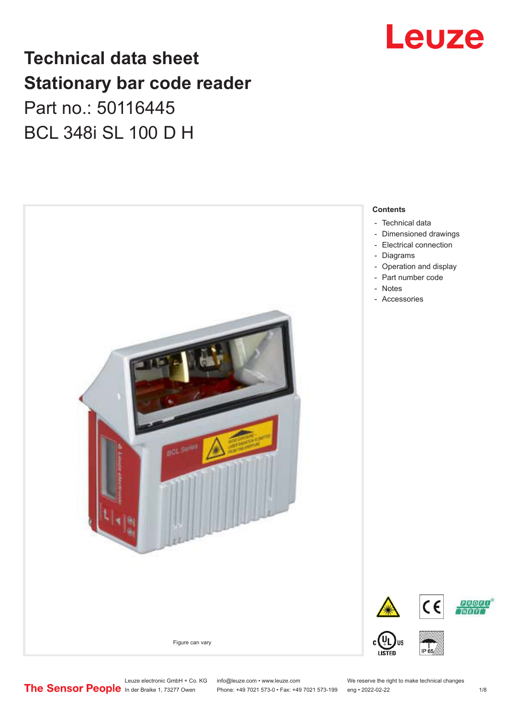## **Technical data sheet Stationary bar code reader** Part no.: 50116445 BCL 348i SL 100 D H



Leuze

- [Dimensioned drawings](#page-2-0)
- [Electrical connection](#page-3-0)
- [Operation and display](#page-3-0)

Leuze electronic GmbH + Co. KG info@leuze.com • www.leuze.com We reserve the right to make technical changes<br>
The Sensor People in der Braike 1, 73277 Owen Phone: +49 7021 573-0 • Fax: +49 7021 573-199 eng • 2022-02-22 Phone: +49 7021 573-0 • Fax: +49 7021 573-199 eng • 2022-02-22 1 /8

**PROED TNTETTT**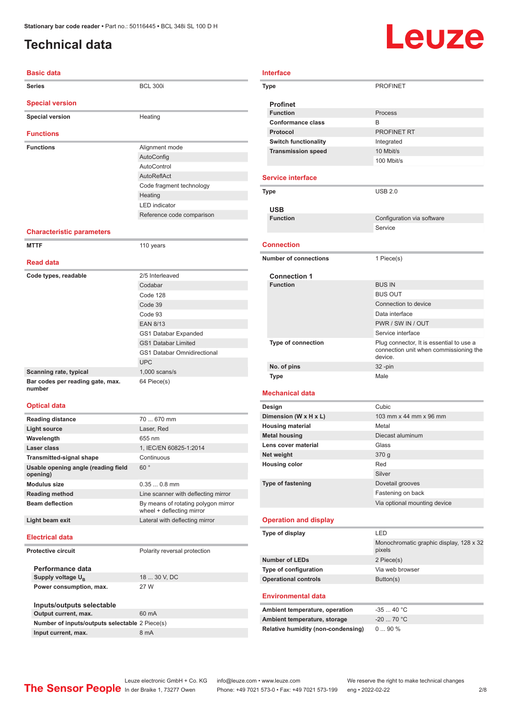## <span id="page-1-0"></span>**Technical data**

# **Leuze**

| <b>Basic data</b>                |                           |  |  |
|----------------------------------|---------------------------|--|--|
| <b>Series</b>                    | <b>BCL 300i</b>           |  |  |
| <b>Special version</b>           |                           |  |  |
| <b>Special version</b>           | Heating                   |  |  |
| <b>Functions</b>                 |                           |  |  |
| <b>Functions</b>                 | Alignment mode            |  |  |
|                                  | AutoConfig                |  |  |
|                                  | AutoControl               |  |  |
|                                  | AutoReflAct               |  |  |
|                                  | Code fragment technology  |  |  |
|                                  | Heating                   |  |  |
|                                  | <b>LED</b> indicator      |  |  |
|                                  | Reference code comparison |  |  |
| <b>Characteristic parameters</b> |                           |  |  |
| <b>MTTF</b>                      | 110 years                 |  |  |
| <b>Read data</b>                 |                           |  |  |
| Code types, readable             | 2/5 Interleaved           |  |  |
|                                  | Codabar                   |  |  |
|                                  | Code 128                  |  |  |
|                                  | Code 39                   |  |  |
|                                  | Code 93                   |  |  |
|                                  | <b>EAN 8/13</b>           |  |  |

|                                            | GS1 Databar Expanded               |
|--------------------------------------------|------------------------------------|
|                                            | <b>GS1 Databar Limited</b>         |
|                                            | <b>GS1 Databar Omnidirectional</b> |
|                                            | <b>UPC</b>                         |
| Scanning rate, typical                     | $1,000$ scans/s                    |
| Bar codes per reading gate, max.<br>number | 64 Piece(s)                        |

#### **Optical data**

| <b>Reading distance</b>                         | 70  670 mm                                                       |  |
|-------------------------------------------------|------------------------------------------------------------------|--|
| Light source                                    | Laser, Red                                                       |  |
| Wavelength                                      | 655 nm                                                           |  |
| Laser class                                     | 1, IEC/EN 60825-1:2014                                           |  |
| <b>Transmitted-signal shape</b>                 | Continuous                                                       |  |
| Usable opening angle (reading field<br>opening) | 60°                                                              |  |
| Modulus size                                    | $0.350.8$ mm                                                     |  |
| <b>Reading method</b>                           | Line scanner with deflecting mirror                              |  |
| <b>Beam deflection</b>                          | By means of rotating polygon mirror<br>wheel + deflecting mirror |  |
| Light beam exit                                 | Lateral with deflecting mirror                                   |  |
| <b>Electrical data</b>                          |                                                                  |  |
| <b>Protective circuit</b>                       | Polarity reversal protection                                     |  |
| Performance data                                |                                                                  |  |
| Supply voltage $U_{B}$                          | 18  30 V, DC                                                     |  |
| Power consumption, max.                         | 27 W                                                             |  |

| Inputs/outputs selectable                      |       |
|------------------------------------------------|-------|
| Output current, max.                           | 60 mA |
| Number of inputs/outputs selectable 2 Piece(s) |       |
| Input current, max.                            | 8 mA  |

| <b>Type</b>                  | <b>PROFINET</b>                          |
|------------------------------|------------------------------------------|
| <b>Profinet</b>              |                                          |
| <b>Function</b>              | Process                                  |
| Conformance class            | <sub>R</sub>                             |
| Protocol                     | PROFINET RT                              |
| <b>Switch functionality</b>  | Integrated                               |
| <b>Transmission speed</b>    | 10 Mbit/s                                |
|                              | 100 Mbit/s                               |
| <b>Service interface</b>     |                                          |
| <b>Type</b>                  | <b>USB 2.0</b>                           |
| <b>USB</b>                   |                                          |
| <b>Function</b>              | Configuration via software               |
|                              | Service                                  |
|                              |                                          |
| <b>Connection</b>            |                                          |
| <b>Number of connections</b> | 1 Piece(s)                               |
|                              |                                          |
| <b>Connection 1</b>          | <b>BUS IN</b>                            |
| <b>Function</b>              | <b>BUS OUT</b>                           |
|                              | Connection to device                     |
|                              |                                          |
|                              | Data interface                           |
|                              | PWR / SW IN / OUT                        |
|                              | Service interface                        |
| Type of connection           | Plug connector, It is essential to use a |

#### connection unit when commissioning the device. **No. of pins** 32 -pin **Type** Male

#### **Mechanical data**

**Interface**

| Design                   | Cubic                        |
|--------------------------|------------------------------|
| Dimension (W x H x L)    | 103 mm x 44 mm x 96 mm       |
| <b>Housing material</b>  | Metal                        |
| <b>Metal housing</b>     | Diecast aluminum             |
| Lens cover material      | Glass                        |
| Net weight               | 370g                         |
| <b>Housing color</b>     | Red                          |
|                          | Silver                       |
| <b>Type of fastening</b> | Dovetail grooves             |
|                          | Fastening on back            |
|                          | Via optional mounting device |
|                          |                              |

#### **Operation and display**

| Type of display             | I FD                                              |  |
|-----------------------------|---------------------------------------------------|--|
|                             | Monochromatic graphic display, 128 x 32<br>pixels |  |
| Number of LEDs              | 2 Piece(s)                                        |  |
| Type of configuration       | Via web browser                                   |  |
| <b>Operational controls</b> | Button(s)                                         |  |

#### **Environmental data**

| Ambient temperature, operation     | -35  40 °C |
|------------------------------------|------------|
| Ambient temperature, storage       | $-2070 °C$ |
| Relative humidity (non-condensing) | $090\%$    |

Leuze electronic GmbH + Co. KG info@leuze.com • www.leuze.com We reserve the right to make technical changes<br> **The Sensor People** in der Braike 1, 73277 Owen Phone: +49 7021 573-0 • Fax: +49 7021 573-199 eng • 2022-02-22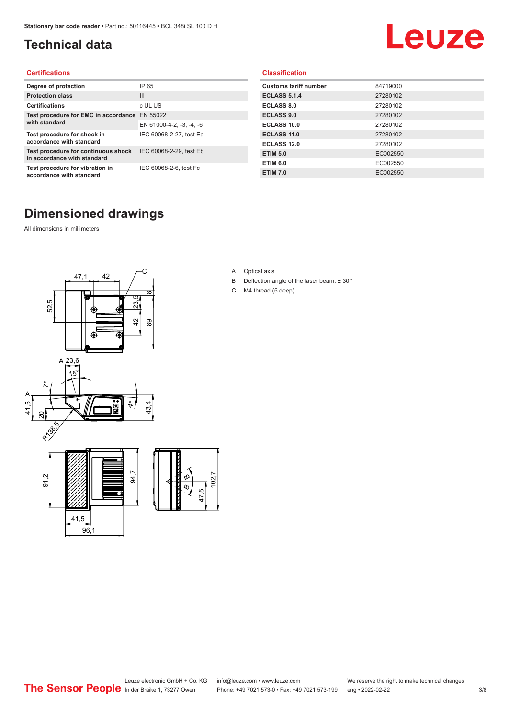## <span id="page-2-0"></span>**Technical data**

# Leuze

#### **Certifications**

| Degree of protection                                               | IP 65                    |
|--------------------------------------------------------------------|--------------------------|
| <b>Protection class</b>                                            | $\mathbf{III}$           |
| <b>Certifications</b>                                              | c UL US                  |
| Test procedure for EMC in accordance<br>with standard              | EN 55022                 |
|                                                                    | EN 61000-4-2, -3, -4, -6 |
| Test procedure for shock in<br>accordance with standard            | IEC 60068-2-27, test Ea  |
| Test procedure for continuous shock<br>in accordance with standard | IEC 60068-2-29, test Eb  |
| Test procedure for vibration in<br>accordance with standard        | IEC 60068-2-6, test Fc   |

#### **Classification**

| <b>Customs tariff number</b> | 84719000 |
|------------------------------|----------|
| <b>ECLASS 5.1.4</b>          | 27280102 |
| <b>ECLASS 8.0</b>            | 27280102 |
| <b>ECLASS 9.0</b>            | 27280102 |
| ECLASS 10.0                  | 27280102 |
| <b>ECLASS 11.0</b>           | 27280102 |
| <b>ECLASS 12.0</b>           | 27280102 |
| <b>ETIM 5.0</b>              | EC002550 |
| <b>ETIM 6.0</b>              | EC002550 |
| <b>ETIM 7.0</b>              | EC002550 |

## **Dimensioned drawings**

All dimensions in millimeters



- A Optical axis
- B Deflection angle of the laser beam: ± 30 °
- C M4 thread (5 deep)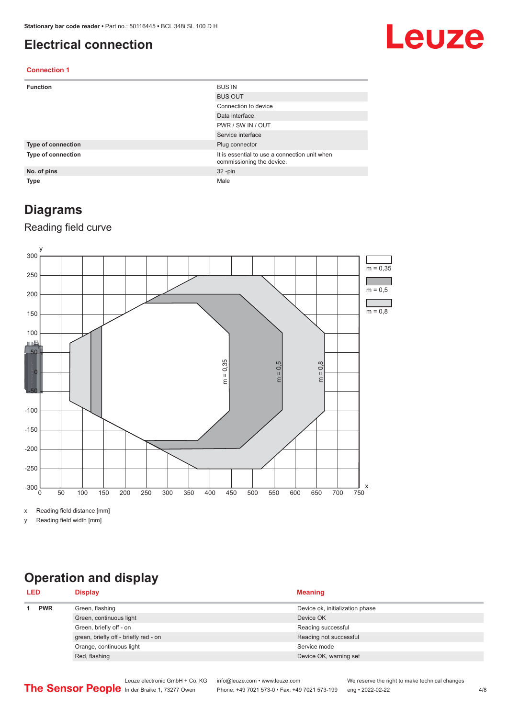### <span id="page-3-0"></span>**Electrical connection**

## Leuze

#### **Connection 1**

| <b>Function</b>    | <b>BUS IN</b>                                                              |
|--------------------|----------------------------------------------------------------------------|
|                    | <b>BUS OUT</b>                                                             |
|                    | Connection to device                                                       |
|                    | Data interface                                                             |
|                    | PWR / SW IN / OUT                                                          |
|                    | Service interface                                                          |
| Type of connection | Plug connector                                                             |
| Type of connection | It is essential to use a connection unit when<br>commissioning the device. |
| No. of pins        | $32 - pin$                                                                 |
| <b>Type</b>        | Male                                                                       |

## **Diagrams**

### Reading field curve



x Reading field distance [mm]

y Reading field width [mm]

## **Operation and display**

| <b>LED</b> |            | <b>Display</b>                        | <b>Meaning</b>                  |
|------------|------------|---------------------------------------|---------------------------------|
|            | <b>PWR</b> | Green, flashing                       | Device ok, initialization phase |
|            |            | Green, continuous light               | Device OK                       |
|            |            | Green, briefly off - on               | Reading successful              |
|            |            | green, briefly off - briefly red - on | Reading not successful          |
|            |            | Orange, continuous light              | Service mode                    |
|            |            | Red, flashing                         | Device OK, warning set          |
|            |            |                                       |                                 |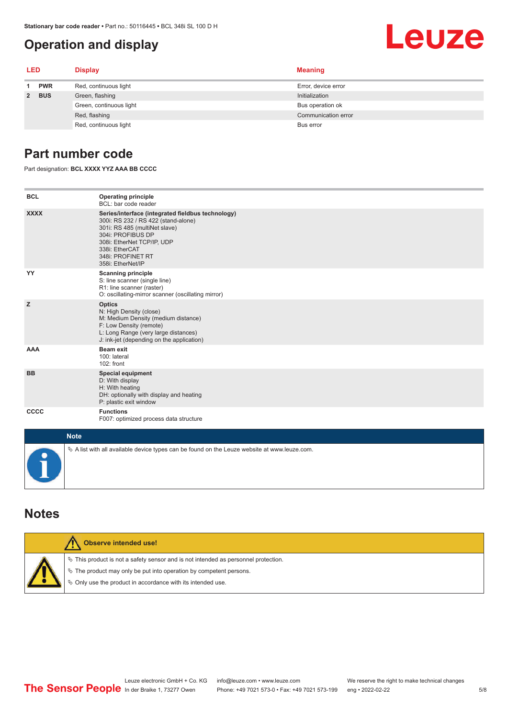## <span id="page-4-0"></span>**Operation and display**

#### **LED Display Meaning 1 PWR** Red, continuous light **Error**, device error **2 BUS** Green, flashing **Initialization** Initialization Green, continuous light **Bus operation of** Bus operation ok Red, flashing **Communication error** communication error communication error communication error Red, continuous light Bus error

## **Part number code**

Part designation: **BCL XXXX YYZ AAA BB CCCC**

| <b>BCL</b>  | <b>Operating principle</b><br>BCL: bar code reader                                                                                                                                                                                       |
|-------------|------------------------------------------------------------------------------------------------------------------------------------------------------------------------------------------------------------------------------------------|
| <b>XXXX</b> | Series/interface (integrated fieldbus technology)<br>300i: RS 232 / RS 422 (stand-alone)<br>301i: RS 485 (multiNet slave)<br>304i: PROFIBUS DP<br>308i: EtherNet TCP/IP, UDP<br>338i: EtherCAT<br>348i: PROFINET RT<br>358i: EtherNet/IP |
| YY          | <b>Scanning principle</b><br>S: line scanner (single line)<br>R1: line scanner (raster)<br>O: oscillating-mirror scanner (oscillating mirror)                                                                                            |
| z           | <b>Optics</b><br>N: High Density (close)<br>M: Medium Density (medium distance)<br>F: Low Density (remote)<br>L: Long Range (very large distances)<br>J: ink-jet (depending on the application)                                          |
| <b>AAA</b>  | <b>Beam exit</b><br>100: lateral<br>$102:$ front                                                                                                                                                                                         |
| <b>BB</b>   | <b>Special equipment</b><br>D: With display<br>H: With heating<br>DH: optionally with display and heating<br>P: plastic exit window                                                                                                      |
| cccc        | <b>Functions</b><br>F007: optimized process data structure                                                                                                                                                                               |
| <b>Note</b> |                                                                                                                                                                                                                                          |
|             | $\&$ A list with all available device types can be found on the Leuze website at www.leuze.com.                                                                                                                                          |

### **Notes**

| Observe intended use!                                                                                                                                                                                                         |
|-------------------------------------------------------------------------------------------------------------------------------------------------------------------------------------------------------------------------------|
| $\%$ This product is not a safety sensor and is not intended as personnel protection.<br>$\%$ The product may only be put into operation by competent persons.<br>§ Only use the product in accordance with its intended use. |

Leuze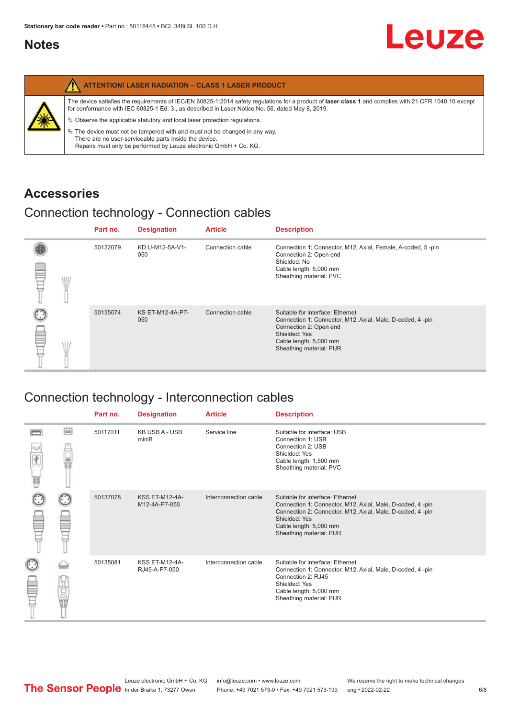## <span id="page-5-0"></span>**Notes**

|   | <b>ATTENTION! LASER RADIATION - CLASS 1 LASER PRODUCT</b>                                                                                                                                                                                                                                                                                                                                                                                                                                                                                                   |
|---|-------------------------------------------------------------------------------------------------------------------------------------------------------------------------------------------------------------------------------------------------------------------------------------------------------------------------------------------------------------------------------------------------------------------------------------------------------------------------------------------------------------------------------------------------------------|
| 纂 | The device satisfies the requirements of IEC/EN 60825-1:2014 safety requlations for a product of laser class 1 and complies with 21 CFR 1040.10 except<br>for conformance with IEC 60825-1 Ed. 3., as described in Laser Notice No. 56, dated May 8, 2019.<br>$\&$ Observe the applicable statutory and local laser protection regulations.<br>$\%$ The device must not be tampered with and must not be changed in any way.<br>There are no user-serviceable parts inside the device.<br>Repairs must only be performed by Leuze electronic GmbH + Co. KG. |

## **Accessories**

## Connection technology - Connection cables

|      | Part no. | <b>Designation</b>      | <b>Article</b>   | <b>Description</b>                                                                                                                                                                            |
|------|----------|-------------------------|------------------|-----------------------------------------------------------------------------------------------------------------------------------------------------------------------------------------------|
| \ll. | 50132079 | KD U-M12-5A-V1-<br>050  | Connection cable | Connection 1: Connector, M12, Axial, Female, A-coded, 5-pin<br>Connection 2: Open end<br>Shielded: No<br>Cable length: 5,000 mm<br>Sheathing material: PVC                                    |
|      | 50135074 | KS ET-M12-4A-P7-<br>050 | Connection cable | Suitable for interface: Ethernet<br>Connection 1: Connector, M12, Axial, Male, D-coded, 4-pin<br>Connection 2: Open end<br>Shielded: Yes<br>Cable length: 5,000 mm<br>Sheathing material: PUR |

## Connection technology - Interconnection cables

|   |           | Part no. | <b>Designation</b>                     | <b>Article</b>        | <b>Description</b>                                                                                                                                                                                                               |
|---|-----------|----------|----------------------------------------|-----------------------|----------------------------------------------------------------------------------------------------------------------------------------------------------------------------------------------------------------------------------|
| 肩 | $\Box$    | 50117011 | <b>KB USB A - USB</b><br>miniB         | Service line          | Suitable for interface: USB<br>Connection 1: USB<br>Connection 2: USB<br>Shielded: Yes<br>Cable length: 1,500 mm<br>Sheathing material: PVC                                                                                      |
|   |           | 50137078 | <b>KSS ET-M12-4A-</b><br>M12-4A-P7-050 | Interconnection cable | Suitable for interface: Ethernet<br>Connection 1: Connector, M12, Axial, Male, D-coded, 4-pin<br>Connection 2: Connector, M12, Axial, Male, D-coded, 4-pin<br>Shielded: Yes<br>Cable length: 5,000 mm<br>Sheathing material: PUR |
|   | t<br>Sepa | 50135081 | KSS ET-M12-4A-<br>RJ45-A-P7-050        | Interconnection cable | Suitable for interface: Ethernet<br>Connection 1: Connector, M12, Axial, Male, D-coded, 4-pin<br>Connection 2: RJ45<br>Shielded: Yes<br>Cable length: 5,000 mm<br>Sheathing material: PUR                                        |

Leuze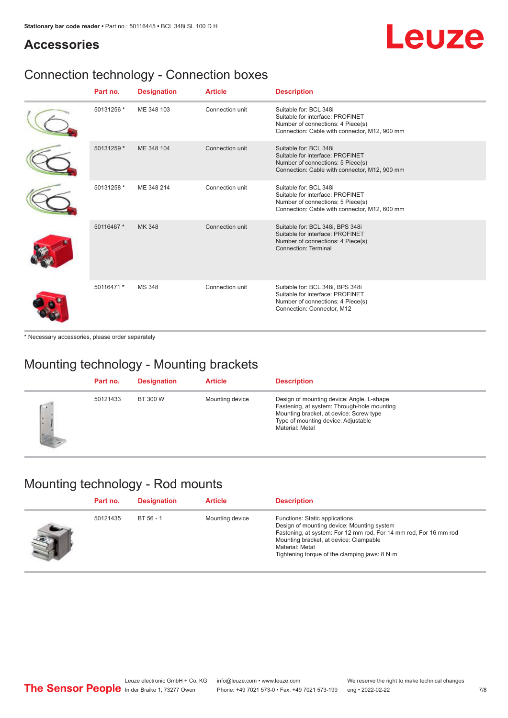## Leuze

## **Accessories**

## Connection technology - Connection boxes

| Part no.   | <b>Designation</b> | <b>Article</b>  | <b>Description</b>                                                                                                                               |
|------------|--------------------|-----------------|--------------------------------------------------------------------------------------------------------------------------------------------------|
| 50131256 * | ME 348 103         | Connection unit | Suitable for: BCL 348i<br>Suitable for interface: PROFINET<br>Number of connections: 4 Piece(s)<br>Connection: Cable with connector, M12, 900 mm |
| 50131259 * | ME 348 104         | Connection unit | Suitable for: BCL 348i<br>Suitable for interface: PROFINET<br>Number of connections: 5 Piece(s)<br>Connection: Cable with connector, M12, 900 mm |
| 50131258 * | ME 348 214         | Connection unit | Suitable for: BCL 348i<br>Suitable for interface: PROFINET<br>Number of connections: 5 Piece(s)<br>Connection: Cable with connector, M12, 600 mm |
| 50116467 * | MK 348             | Connection unit | Suitable for: BCL 348i, BPS 348i<br>Suitable for interface: PROFINET<br>Number of connections: 4 Piece(s)<br>Connection: Terminal                |
| 50116471 * | <b>MS 348</b>      | Connection unit | Suitable for: BCL 348i, BPS 348i<br>Suitable for interface: PROFINET<br>Number of connections: 4 Piece(s)<br>Connection: Connector, M12          |

\* Necessary accessories, please order separately

## Mounting technology - Mounting brackets

|              | Part no. | <b>Designation</b> | <b>Article</b>  | <b>Description</b>                                                                                                                                                                            |
|--------------|----------|--------------------|-----------------|-----------------------------------------------------------------------------------------------------------------------------------------------------------------------------------------------|
| $\sim$<br>ı. | 50121433 | BT 300 W           | Mounting device | Design of mounting device: Angle, L-shape<br>Fastening, at system: Through-hole mounting<br>Mounting bracket, at device: Screw type<br>Type of mounting device: Adjustable<br>Material: Metal |

## Mounting technology - Rod mounts

| Part no. | <b>Designation</b> | <b>Article</b>  | <b>Description</b>                                                                                                                                                                                                                                                |
|----------|--------------------|-----------------|-------------------------------------------------------------------------------------------------------------------------------------------------------------------------------------------------------------------------------------------------------------------|
| 50121435 | BT 56 - 1          | Mounting device | Functions: Static applications<br>Design of mounting device: Mounting system<br>Fastening, at system: For 12 mm rod, For 14 mm rod, For 16 mm rod<br>Mounting bracket, at device: Clampable<br>Material: Metal<br>Tightening torque of the clamping jaws: $8 N·m$ |